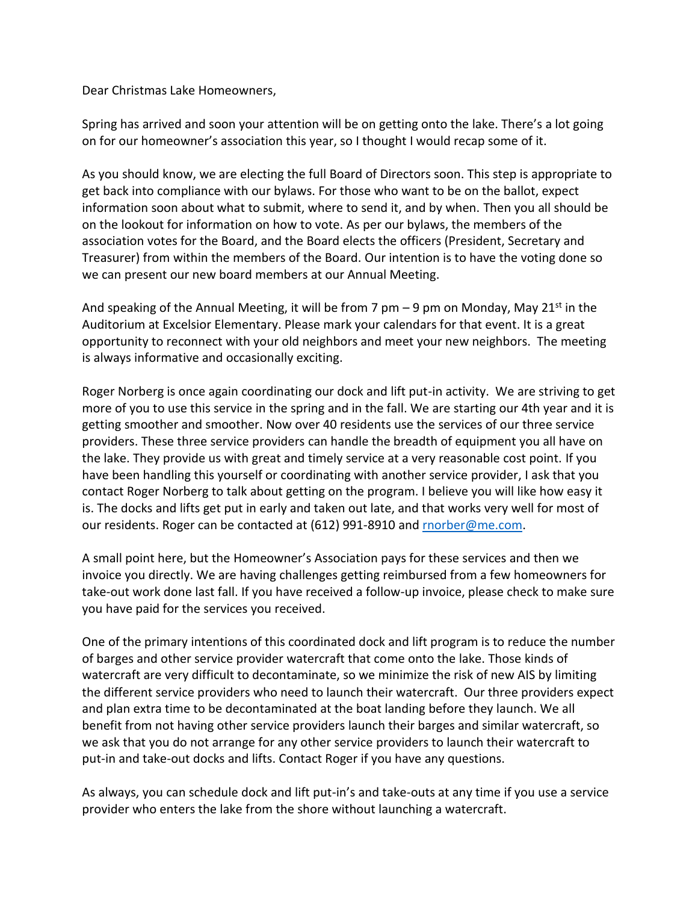Dear Christmas Lake Homeowners,

Spring has arrived and soon your attention will be on getting onto the lake. There's a lot going on for our homeowner's association this year, so I thought I would recap some of it.

As you should know, we are electing the full Board of Directors soon. This step is appropriate to get back into compliance with our bylaws. For those who want to be on the ballot, expect information soon about what to submit, where to send it, and by when. Then you all should be on the lookout for information on how to vote. As per our bylaws, the members of the association votes for the Board, and the Board elects the officers (President, Secretary and Treasurer) from within the members of the Board. Our intention is to have the voting done so we can present our new board members at our Annual Meeting.

And speaking of the Annual Meeting, it will be from 7 pm  $-$  9 pm on Monday, May 21<sup>st</sup> in the Auditorium at Excelsior Elementary. Please mark your calendars for that event. It is a great opportunity to reconnect with your old neighbors and meet your new neighbors. The meeting is always informative and occasionally exciting.

Roger Norberg is once again coordinating our dock and lift put-in activity. We are striving to get more of you to use this service in the spring and in the fall. We are starting our 4th year and it is getting smoother and smoother. Now over 40 residents use the services of our three service providers. These three service providers can handle the breadth of equipment you all have on the lake. They provide us with great and timely service at a very reasonable cost point. If you have been handling this yourself or coordinating with another service provider, I ask that you contact Roger Norberg to talk about getting on the program. I believe you will like how easy it is. The docks and lifts get put in early and taken out late, and that works very well for most of our residents. Roger can be contacted at (612) 991-8910 an[d rnorber@me.com.](mailto:rnorber@me.com)

A small point here, but the Homeowner's Association pays for these services and then we invoice you directly. We are having challenges getting reimbursed from a few homeowners for take-out work done last fall. If you have received a follow-up invoice, please check to make sure you have paid for the services you received.

One of the primary intentions of this coordinated dock and lift program is to reduce the number of barges and other service provider watercraft that come onto the lake. Those kinds of watercraft are very difficult to decontaminate, so we minimize the risk of new AIS by limiting the different service providers who need to launch their watercraft. Our three providers expect and plan extra time to be decontaminated at the boat landing before they launch. We all benefit from not having other service providers launch their barges and similar watercraft, so we ask that you do not arrange for any other service providers to launch their watercraft to put-in and take-out docks and lifts. Contact Roger if you have any questions.

As always, you can schedule dock and lift put-in's and take-outs at any time if you use a service provider who enters the lake from the shore without launching a watercraft.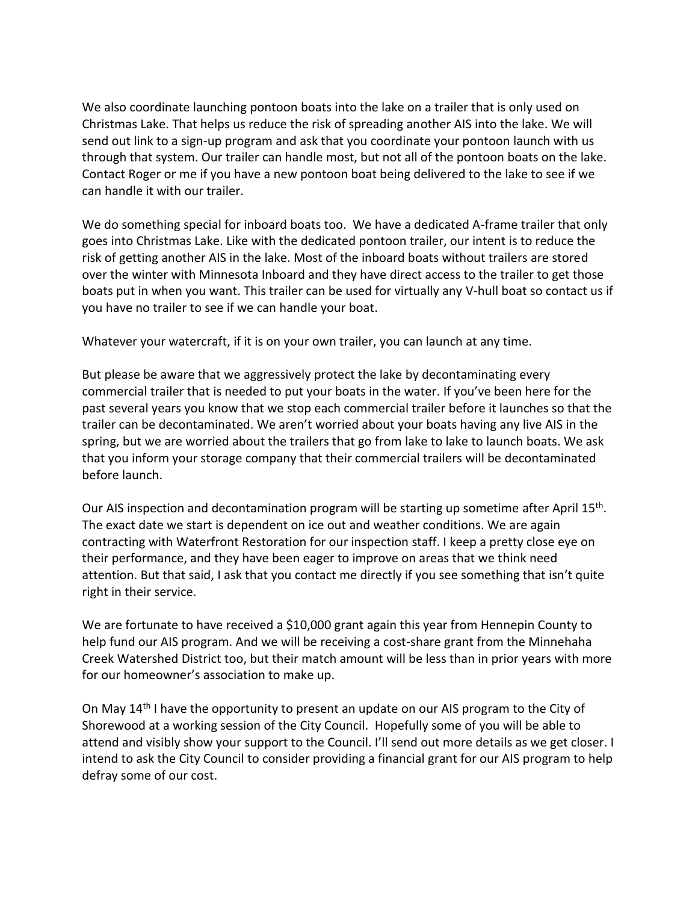We also coordinate launching pontoon boats into the lake on a trailer that is only used on Christmas Lake. That helps us reduce the risk of spreading another AIS into the lake. We will send out link to a sign-up program and ask that you coordinate your pontoon launch with us through that system. Our trailer can handle most, but not all of the pontoon boats on the lake. Contact Roger or me if you have a new pontoon boat being delivered to the lake to see if we can handle it with our trailer.

We do something special for inboard boats too. We have a dedicated A-frame trailer that only goes into Christmas Lake. Like with the dedicated pontoon trailer, our intent is to reduce the risk of getting another AIS in the lake. Most of the inboard boats without trailers are stored over the winter with Minnesota Inboard and they have direct access to the trailer to get those boats put in when you want. This trailer can be used for virtually any V-hull boat so contact us if you have no trailer to see if we can handle your boat.

Whatever your watercraft, if it is on your own trailer, you can launch at any time.

But please be aware that we aggressively protect the lake by decontaminating every commercial trailer that is needed to put your boats in the water. If you've been here for the past several years you know that we stop each commercial trailer before it launches so that the trailer can be decontaminated. We aren't worried about your boats having any live AIS in the spring, but we are worried about the trailers that go from lake to lake to launch boats. We ask that you inform your storage company that their commercial trailers will be decontaminated before launch.

Our AIS inspection and decontamination program will be starting up sometime after April 15<sup>th</sup>. The exact date we start is dependent on ice out and weather conditions. We are again contracting with Waterfront Restoration for our inspection staff. I keep a pretty close eye on their performance, and they have been eager to improve on areas that we think need attention. But that said, I ask that you contact me directly if you see something that isn't quite right in their service.

We are fortunate to have received a \$10,000 grant again this year from Hennepin County to help fund our AIS program. And we will be receiving a cost-share grant from the Minnehaha Creek Watershed District too, but their match amount will be less than in prior years with more for our homeowner's association to make up.

On May 14<sup>th</sup> I have the opportunity to present an update on our AIS program to the City of Shorewood at a working session of the City Council. Hopefully some of you will be able to attend and visibly show your support to the Council. I'll send out more details as we get closer. I intend to ask the City Council to consider providing a financial grant for our AIS program to help defray some of our cost.